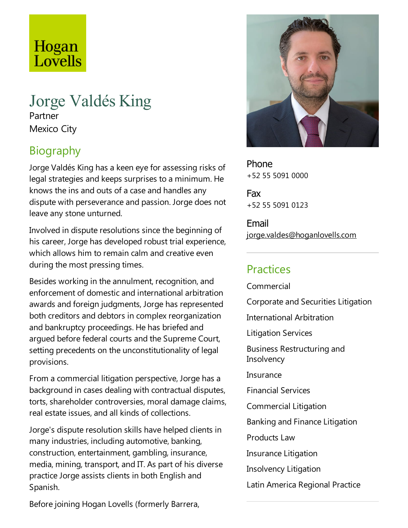# Hogan<br>Lovells

# Jorge Valdés King Partner

Mexico City

# Biography

Jorge Valdés King has a keen eye for assessing risks of legal strategies and keeps surprises to a minimum. He knows the ins and outs of a case and handles any dispute with perseverance and passion. Jorge does not leave any stone unturned.

Involved in dispute resolutions since the beginning of his career, Jorge has developed robust trial experience, which allows him to remain calm and creative even during the most pressing times.

Besides working in the annulment, recognition, and enforcement of domesticand international arbitration awards and foreign judgments, Jorge has represented both creditors and debtors in complex reorganization and bankruptcy proceedings. He has briefed and argued before federal courts and the Supreme Court, setting precedents on the unconstitutionality of legal provisions.

From acommercial litigation perspective, Jorge has a background in cases dealing with contractual disputes, torts, shareholder controversies, moral damage claims, real estate issues, and all kinds of collections.

Jorge's dispute resolution skills have helped clients in many industries, including automotive, banking, construction, entertainment, gambling, insurance, media, mining, transport, and IT. As part of his diverse practice Jorge assists clients in both English and Spanish.

Before joining Hogan Lovells (formerly Barrera,



Phone +52 55 5091 0000

Fax +52 55 5091 0123

Email jorge.valdes@hoganlovells.com

# **Practices**

Commercial Corporate and Securities Litigation International Arbitration Litigation Services Business Restructuring and **Insolvency** Insurance Financial Services Commercial Litigation Banking and Finance Litigation Products Law Insurance Litigation Insolvency Litigation Latin America Regional Practice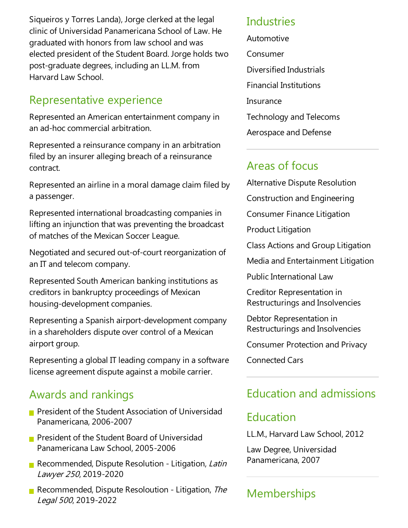Siqueiros y Torres Landa), Jorge clerked at the legal clinic of Universidad Panamericana School of Law. He graduated with honors from law school and was elected president of the Student Board. Jorge holds two post-graduate degrees, including an LL.M. from Harvard Law School.

## Representative experience

Represented an American entertainment company in an ad-hoc commercial arbitration.

Represented a reinsurance company in an arbitration filed by an insurer alleging breach of a reinsurance contract.

Represented an airline in a moral damage claim filed by a passenger.

Represented international broadcasting companies in lifting an injunction that was preventing the broadcast of matches of the Mexican Soccer League.

Negotiated and secured out-of-court reorganization of an IT and telecom company.

Represented South American banking institutions as creditors in bankruptcy proceedings of Mexican housing-development companies.

Representing a Spanish airport-development company in a shareholders dispute over control of a Mexican airport group.

Representing a global IT leading company in a software license agreement dispute against a mobile carrier.

## Awards and rankings

- **President of the Student Association of Universidad** Panamericana, 2006-2007
- **President of the Student Board of Universidad** Panamericana Law School, 2005-2006
- Recommended, Dispute Resolution Litigation, Latin Lawyer <sup>250</sup>, 2019-2020
- Recommended, Dispute Resoloution Litigation, The Legal <sup>500</sup>, 2019-2022

#### Industries

Automotive Consumer Diversified Industrials Financial Institutions Insurance Technology and Telecoms Aerospace and Defense

## Areas of focus

Alternative Dispute Resolution

Construction and Engineering

Consumer Finance Litigation

Product Litigation

Class Actions and Group Litigation

Media and Entertainment Litigation

Public International Law

Creditor Representation in Restructurings and Insolvencies

Debtor Representation in Restructurings and Insolvencies

Consumer Protection and Privacy

Connected Cars

# Education and admissions

## Education

LL.M., Harvard Law School, 2012

Law Degree, Universidad Panamericana, 2007

# **Memberships**